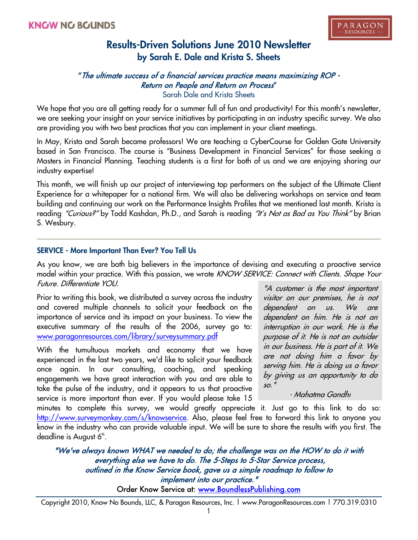### "The ultimate success of a financial services practice means maximizing ROP - Return on People and Return on Process" Sarah Dale and Krista Sheets

We hope that you are all getting ready for a summer full of fun and productivity! For this month's newsletter, we are seeking your insight on your service initiatives by participating in an industry specific survey. We also are providing you with two best practices that you can implement in your client meetings.

In May, Krista and Sarah became professors! We are teaching a CyberCourse for Golden Gate University based in San Francisco. The course is "Business Development in Financial Services" for those seeking a Masters in Financial Planning. Teaching students is a first for both of us and we are enjoying sharing our industry expertise!

This month, we will finish up our project of interviewing top performers on the subject of the Ultimate Client Experience for a whitepaper for a national firm. We will also be delivering workshops on service and team building and continuing our work on the Performance Insights Profiles that we mentioned last month. Krista is reading "Curious?" by Todd Kashdan, Ph.D., and Sarah is reading "It's Not as Bad as You Think" by Brian S. Wesbury.

### **SERVICE - More Important Than Ever? You Tell Us**

As you know, we are both big believers in the importance of devising and executing a proactive service model within your practice. With this passion, we wrote KNOW SERVICE: Connect with Clients. Shape Your Future. Differentiate YOU.

Prior to writing this book, we distributed a survey across the industry and covered multiple channels to solicit your feedback on the importance of service and its impact on your business. To view the executive summary of the results of the 2006, survey go to: www.paragonresources.com/library/surveysummary.pdf

With the tumultuous markets and economy that we have experienced in the last two years, we'd like to solicit your feedback once again. In our consulting, coaching, and speaking engagements we have great interaction with you and are able to take the pulse of the industry, and it appears to us that proactive service is more important than ever. If you would please take 15

"A customer is the most important visitor on our premises, he is not dependent on us. We are dependent on him. He is not an interruption in our work. He is the purpose of it. He is not an outsider in our business. He is part of it. We are not doing him a favor by serving him. He is doing us a favor by giving us an opportunity to do so."

- Mahatma Gandhi

minutes to complete this survey, we would greatly appreciate it. Just go to this link to do so: http://www.surveymonkey.com/s/knowservice. Also, please feel free to forward this link to anyone you know in the industry who can provide valuable input. We will be sure to share the results with you first. The deadline is August 6<sup>th</sup>.

"We've always known WHAT we needed to do; the challenge was on the HOW to do it with everything else we have to do. The 5-Steps to 5-Star Service process, outlined in the Know Service book, gave us a simple roadmap to follow to implement into our practice."

Order Know Service at: www.BoundlessPublishing.com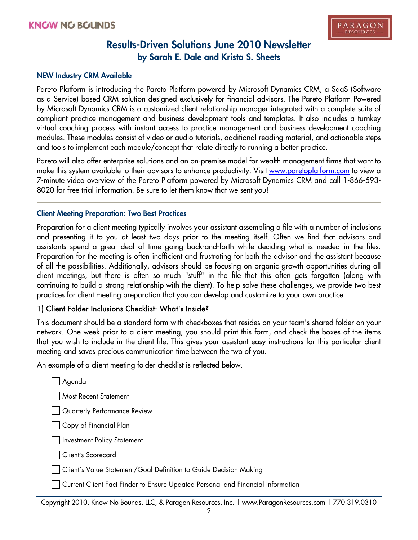#### **NEW Industry CRM Available**

Pareto Platform is introducing the Pareto Platform powered by Microsoft Dynamics CRM, a SaaS (Software as a Service) based CRM solution designed exclusively for financial advisors. The Pareto Platform Powered by Microsoft Dynamics CRM is a customized client relationship manager integrated with a complete suite of compliant practice management and business development tools and templates. It also includes a turnkey virtual coaching process with instant access to practice management and business development coaching modules. These modules consist of video or audio tutorials, additional reading material, and actionable steps and tools to implement each module/concept that relate directly to running a better practice.

Pareto will also offer enterprise solutions and an on-premise model for wealth management firms that want to make this system available to their advisors to enhance productivity. Visit www.paretoplatform.com to view a 7-minute video overview of the Pareto Platform powered by Microsoft Dynamics CRM and call 1-866-593- 8020 for free trial information. Be sure to let them know that we sent you!

#### **Client Meeting Preparation: Two Best Practices**

Preparation for a client meeting typically involves your assistant assembling a file with a number of inclusions and presenting it to you at least two days prior to the meeting itself. Often we find that advisors and assistants spend a great deal of time going back-and-forth while deciding what is needed in the files. Preparation for the meeting is often inefficient and frustrating for both the advisor and the assistant because of all the possibilities. Additionally, advisors should be focusing on organic growth opportunities during all client meetings, but there is often so much "stuff" in the file that this often gets forgotten (along with continuing to build a strong relationship with the client). To help solve these challenges, we provide two best practices for client meeting preparation that you can develop and customize to your own practice.

## 1) Client Folder Inclusions Checklist: What's Inside?

This document should be a standard form with checkboxes that resides on your team's shared folder on your network. One week prior to a client meeting, you should print this form, and check the boxes of the items that you wish to include in the client file. This gives your assistant easy instructions for this particular client meeting and saves precious communication time between the two of you.

An example of a client meeting folder checklist is reflected below.

| Agenda                                                                          |
|---------------------------------------------------------------------------------|
| <b>Most Recent Statement</b>                                                    |
| Quarterly Performance Review                                                    |
| $\Box$ Copy of Financial Plan                                                   |
| Investment Policy Statement                                                     |
| Client's Scorecard                                                              |
| Client's Value Statement/Goal Definition to Guide Decision Making               |
| Current Client Fact Finder to Ensure Updated Personal and Financial Information |

Copyright 2010, Know No Bounds, LLC, & Paragon Resources, Inc. | www.ParagonResources.com | 770.319.0310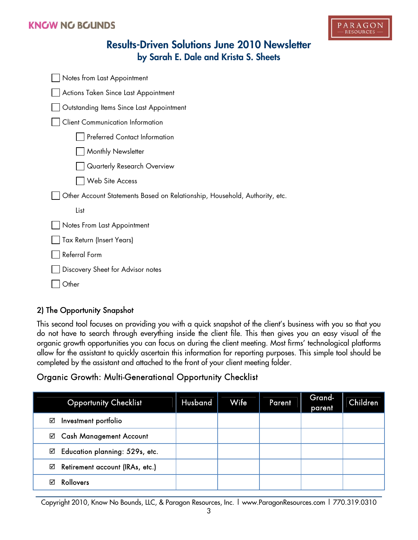## **KNGW NG BGUNDS**



# **Results-Driven Solutions June 2010 Newsletter by Sarah E. Dale and Krista S. Sheets**

| Notes from Last Appointment                                                |  |  |  |  |  |  |
|----------------------------------------------------------------------------|--|--|--|--|--|--|
| Actions Taken Since Last Appointment                                       |  |  |  |  |  |  |
| Outstanding Items Since Last Appointment                                   |  |  |  |  |  |  |
| <b>Client Communication Information</b>                                    |  |  |  |  |  |  |
| <b>Preferred Contact Information</b>                                       |  |  |  |  |  |  |
| Monthly Newsletter                                                         |  |  |  |  |  |  |
| Quarterly Research Overview                                                |  |  |  |  |  |  |
| Web Site Access                                                            |  |  |  |  |  |  |
| Other Account Statements Based on Relationship, Household, Authority, etc. |  |  |  |  |  |  |
| List                                                                       |  |  |  |  |  |  |
| Notes From Last Appointment                                                |  |  |  |  |  |  |
| Tax Return (Insert Years)                                                  |  |  |  |  |  |  |
| Referral Form                                                              |  |  |  |  |  |  |
| Discovery Sheet for Advisor notes                                          |  |  |  |  |  |  |
| )ther                                                                      |  |  |  |  |  |  |

## 2) The Opportunity Snapshot

This second tool focuses on providing you with a quick snapshot of the client's business with you so that you do not have to search through everything inside the client file. This then gives you an easy visual of the organic growth opportunities you can focus on during the client meeting. Most firms' technological platforms allow for the assistant to quickly ascertain this information for reporting purposes. This simple tool should be completed by the assistant and attached to the front of your client meeting folder.

## Organic Growth: Multi-Generational Opportunity Checklist

| <b>Opportunity Checklist</b>         | Husband | Wife | Parent | Grand-<br>parent | Children |
|--------------------------------------|---------|------|--------|------------------|----------|
| Investment portfolio<br>☑            |         |      |        |                  |          |
| <b>Cash Management Account</b><br>☑  |         |      |        |                  |          |
| Education planning: 529s, etc.<br>☑  |         |      |        |                  |          |
| Retirement account (IRAs, etc.)<br>☑ |         |      |        |                  |          |
| Rollovers<br>⊠                       |         |      |        |                  |          |

Copyright 2010, Know No Bounds, LLC, & Paragon Resources, Inc. | www.ParagonResources.com | 770.319.0310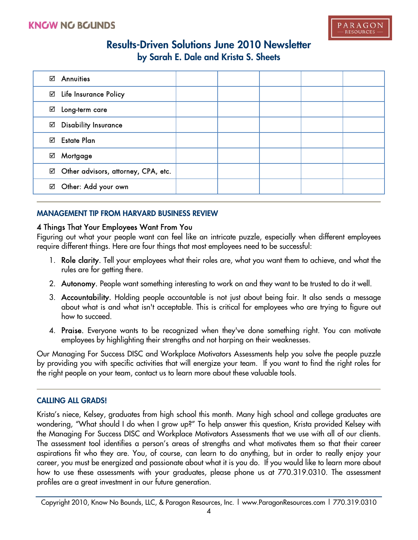| <b>Annuities</b><br>☑                    |  |  |  |
|------------------------------------------|--|--|--|
| ⊠ Life Insurance Policy                  |  |  |  |
| Long-term care<br>☑                      |  |  |  |
| <b>Disability Insurance</b><br>☑         |  |  |  |
| <b>Estate Plan</b><br>☑                  |  |  |  |
| Mortgage<br>☑                            |  |  |  |
| Other advisors, attorney, CPA, etc.<br>☑ |  |  |  |
| Other: Add your own<br>☑                 |  |  |  |

### **MANAGEMENT TIP FROM HARVARD BUSINESS REVIEW**

### 4 Things That Your Employees Want From You

Figuring out what your people want can feel like an intricate puzzle, especially when different employees require different things. Here are four things that most employees need to be successful:

- 1. Role clarity. Tell your employees what their roles are, what you want them to achieve, and what the rules are for getting there.
- 2. Autonomy. People want something interesting to work on and they want to be trusted to do it well.
- 3. Accountability. Holding people accountable is not just about being fair. It also sends a message about what is and what isn't acceptable. This is critical for employees who are trying to figure out how to succeed.
- 4. Praise. Everyone wants to be recognized when they've done something right. You can motivate employees by highlighting their strengths and not harping on their weaknesses.

Our Managing For Success DISC and Workplace Motivators Assessments help you solve the people puzzle by providing you with specific activities that will energize your team. If you want to find the right roles for the right people on your team, contact us to learn more about these valuable tools.

### **CALLING ALL GRADS!**

Krista's niece, Kelsey, graduates from high school this month. Many high school and college graduates are wondering, "What should I do when I grow up?" To help answer this question, Krista provided Kelsey with the Managing For Success DISC and Workplace Motivators Assessments that we use with all of our clients. The assessment tool identifies a person's areas of strengths and what motivates them so that their career aspirations fit who they are. You, of course, can learn to do anything, but in order to really enjoy your career, you must be energized and passionate about what it is you do. If you would like to learn more about how to use these assessments with your graduates, please phone us at 770.319.0310. The assessment profiles are a great investment in our future generation.